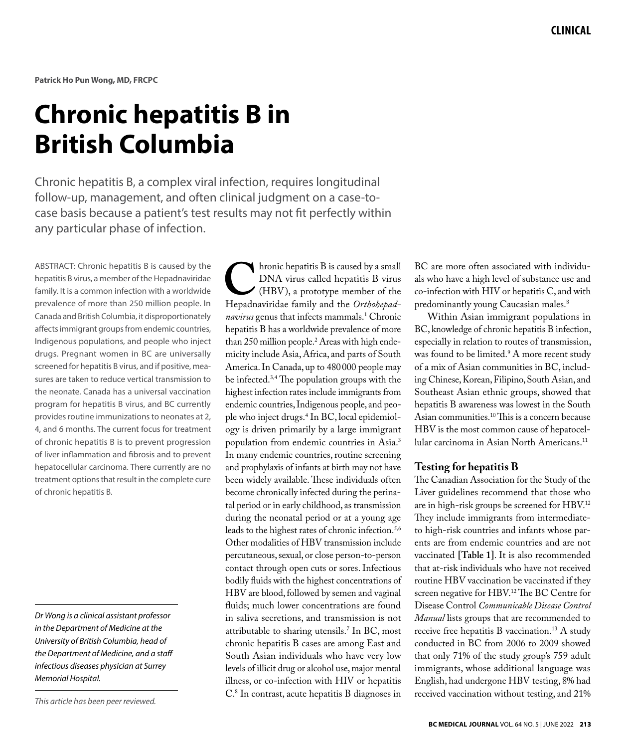# **Chronic hepatitis B in British Columbia**

Chronic hepatitis B, a complex viral infection, requires longitudinal follow-up, management, and often clinical judgment on a case-tocase basis because a patient's test results may not fit perfectly within any particular phase of infection.

ABSTRACT: Chronic hepatitis B is caused by the hepatitis B virus, a member of the Hepadnaviridae family. It is a common infection with a worldwide prevalence of more than 250 million people. In Canada and British Columbia, it disproportionately affects immigrant groups from endemic countries, Indigenous populations, and people who inject drugs. Pregnant women in BC are universally screened for hepatitis B virus, and if positive, measures are taken to reduce vertical transmission to the neonate. Canada has a universal vaccination program for hepatitis B virus, and BC currently provides routine immunizations to neonates at 2, 4, and 6 months. The current focus for treatment of chronic hepatitis B is to prevent progression of liver inflammation and fibrosis and to prevent hepatocellular carcinoma. There currently are no treatment options that result in the complete cure of chronic hepatitis B.

*Dr Wong is a clinical assistant professor in the Department of Medicine at the University of British Columbia, head of the Department of Medicine, and a staff infectious diseases physician at Surrey Memorial Hospital.* 

**C**hronic hepatitis B is caused by a small<br>
DNA virus called hepatitis B virus<br>
(HBV), a prototype member of the<br>
Hepadnaviridae family and the *Orthohepad*-DNA virus called hepatitis B virus (HBV), a prototype member of the *navirus* genus that infects mammals.1 Chronic hepatitis B has a worldwide prevalence of more than 250 million people.2 Areas with high endemicity include Asia, Africa, and parts of South America. In Canada, up to 480000 people may be infected.3,4 The population groups with the highest infection rates include immigrants from endemic countries, Indigenous people, and people who inject drugs.4 In BC, local epidemiology is driven primarily by a large immigrant population from endemic countries in Asia.3 In many endemic countries, routine screening and prophylaxis of infants at birth may not have been widely available. These individuals often become chronically infected during the perinatal period or in early childhood, as transmission during the neonatal period or at a young age leads to the highest rates of chronic infection.<sup>5,6</sup> Other modalities of HBV transmission include percutaneous, sexual, or close person-to-person contact through open cuts or sores. Infectious bodily fluids with the highest concentrations of HBV are blood, followed by semen and vaginal fluids; much lower concentrations are found in saliva secretions, and transmission is not attributable to sharing utensils.7 In BC, most chronic hepatitis B cases are among East and South Asian individuals who have very low levels of illicit drug or alcohol use, major mental illness, or co-infection with HIV or hepatitis C.8 In contrast, acute hepatitis B diagnoses in

BC are more often associated with individuals who have a high level of substance use and co-infection with HIV or hepatitis C, and with predominantly young Caucasian males.<sup>8</sup>

Within Asian immigrant populations in BC, knowledge of chronic hepatitis B infection, especially in relation to routes of transmission, was found to be limited.<sup>9</sup> A more recent study of a mix of Asian communities in BC, including Chinese, Korean, Filipino, South Asian, and Southeast Asian ethnic groups, showed that hepatitis B awareness was lowest in the South Asian communities.10 This is a concern because HBV is the most common cause of hepatocellular carcinoma in Asian North Americans.11

### **Testing for hepatitis B**

The Canadian Association for the Study of the Liver guidelines recommend that those who are in high-risk groups be screened for HBV.12 They include immigrants from intermediateto high-risk countries and infants whose parents are from endemic countries and are not vaccinated **[Table 1]**. It is also recommended that at-risk individuals who have not received routine HBV vaccination be vaccinated if they screen negative for HBV.<sup>12</sup>The BC Centre for Disease Control *Communicable Disease Control Manual* lists groups that are recommended to receive free hepatitis B vaccination.13 A study conducted in BC from 2006 to 2009 showed that only 71% of the study group's 759 adult immigrants, whose additional language was English, had undergone HBV testing, 8% had received vaccination without testing, and 21%

*This article has been peer reviewed.*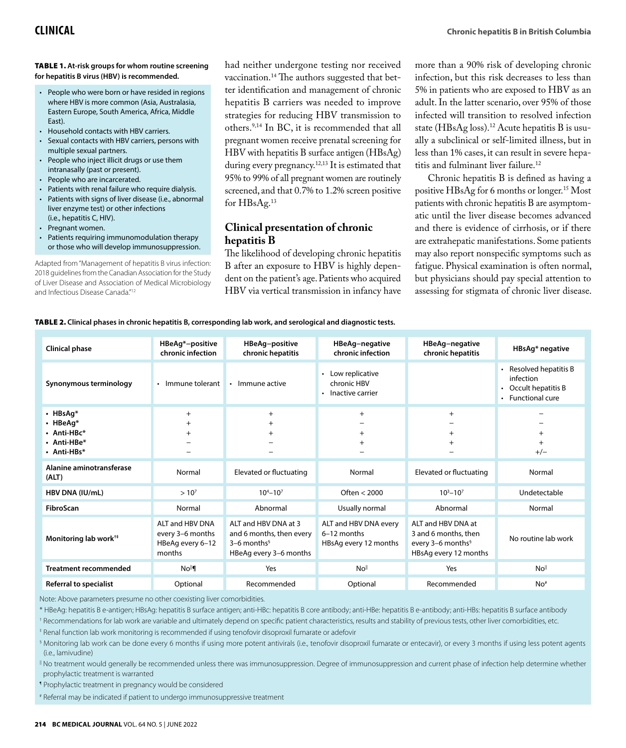#### Table 1. **At-risk groups for whom routine screening for hepatitis B virus (HBV) is recommended.**

- People who were born or have resided in regions where HBV is more common (Asia, Australasia, Eastern Europe, South America, Africa, Middle East).
- • Household contacts with HBV carriers.
- • Sexual contacts with HBV carriers, persons with multiple sexual partners.
- • People who inject illicit drugs or use them intranasally (past or present).
- People who are incarcerated.
- Patients with renal failure who require dialysis.
- • Patients with signs of liver disease (i.e., abnormal liver enzyme test) or other infections (i.e., hepatitis C, HIV).
- Pregnant women.
- • Patients requiring immunomodulation therapy or those who will develop immunosuppression.

Adapted from "Management of hepatitis B virus infection: 2018 guidelines from the Canadian Association for the Study of Liver Disease and Association of Medical Microbiology and Infectious Disease Canada."12

had neither undergone testing nor received vaccination.14 The authors suggested that better identification and management of chronic hepatitis B carriers was needed to improve strategies for reducing HBV transmission to others.9,14 In BC, it is recommended that all pregnant women receive prenatal screening for HBV with hepatitis B surface antigen (HBsAg) during every pregnancy.<sup>12,13</sup> It is estimated that 95% to 99% of all pregnant women are routinely screened, and that 0.7% to 1.2% screen positive for HBsAg.13

## **Clinical presentation of chronic hepatitis B**

The likelihood of developing chronic hepatitis B after an exposure to HBV is highly dependent on the patient's age. Patients who acquired HBV via vertical transmission in infancy have

more than a 90% risk of developing chronic infection, but this risk decreases to less than 5% in patients who are exposed to HBV as an adult. In the latter scenario, over 95% of those infected will transition to resolved infection state (HBsAg loss).<sup>12</sup> Acute hepatitis B is usually a subclinical or self-limited illness, but in less than 1% cases, it can result in severe hepatitis and fulminant liver failure.<sup>12</sup>

Chronic hepatitis B is defined as having a positive HBsAg for 6 months or longer.15 Most patients with chronic hepatitis B are asymptomatic until the liver disease becomes advanced and there is evidence of cirrhosis, or if there are extrahepatic manifestations. Some patients may also report nonspecific symptoms such as fatigue. Physical examination is often normal, but physicians should pay special attention to assessing for stigmata of chronic liver disease.

#### Table 2. **Clinical phases in chronic hepatitis B, corresponding lab work, and serological and diagnostic tests.**

| <b>Clinical phase</b>                                                             | HBeAg*-positive<br>chronic infection                              | HBeAg-positive<br>chronic hepatitis                                                                     | HBeAg-negative<br>chronic infection                           | HBeAg-negative<br>chronic hepatitis                                                                  | HBsAg* negative                                                                             |
|-----------------------------------------------------------------------------------|-------------------------------------------------------------------|---------------------------------------------------------------------------------------------------------|---------------------------------------------------------------|------------------------------------------------------------------------------------------------------|---------------------------------------------------------------------------------------------|
| Synonymous terminology                                                            | • Immune tolerant                                                 | Immune active                                                                                           | • Low replicative<br>chronic HBV<br>• Inactive carrier        |                                                                                                      | • Resolved hepatitis B<br>infection<br>Occult hepatitis B<br>$\bullet$<br>• Functional cure |
| $\cdot$ HBsAg*<br>$\cdot$ HBeAg*<br>• Anti-HB $c^*$<br>• Anti-HBe*<br>• Anti-HBs* | $+$<br>$^{+}$<br>$^{+}$                                           | $+$<br>$\ddot{}$<br>$\ddot{}$                                                                           | $+$<br>$^+$                                                   | $+$<br>$^{+}$                                                                                        | $^{+}$<br>$+/-$                                                                             |
| Alanine aminotransferase<br>(ALT)                                                 | Normal                                                            | Elevated or fluctuating                                                                                 | Normal                                                        | Elevated or fluctuating                                                                              | Normal                                                                                      |
| HBV DNA (IU/mL)                                                                   | $> 10^{7}$                                                        | $10^{4} - 10^{7}$                                                                                       | Often $<$ 2000                                                | $10^3 - 10^7$                                                                                        | Undetectable                                                                                |
| <b>FibroScan</b>                                                                  | Normal                                                            | Abnormal                                                                                                | Usually normal                                                | Abnormal                                                                                             | Normal                                                                                      |
| Monitoring lab work <sup>++</sup>                                                 | ALT and HBV DNA<br>every 3-6 months<br>HBeAg every 6-12<br>months | ALT and HBV DNA at 3<br>and 6 months, then every<br>$3-6$ months <sup>§</sup><br>HBeAg every 3-6 months | ALT and HBV DNA every<br>6-12 months<br>HBsAg every 12 months | ALT and HBV DNA at<br>3 and 6 months, then<br>every 3-6 months <sup>§</sup><br>HBsAg every 12 months | No routine lab work                                                                         |
| <b>Treatment recommended</b>                                                      | No <sup>ll</sup>                                                  | Yes                                                                                                     | No <sup>ll</sup>                                              | Yes                                                                                                  | No <sup>ll</sup>                                                                            |
| Referral to specialist                                                            | Optional                                                          | Recommended                                                                                             | Optional                                                      | Recommended                                                                                          | No <sup>#</sup>                                                                             |

Note: Above parameters presume no other coexisting liver comorbidities.

\* HBeAg: hepatitis B e-antigen; HBsAg: hepatitis B surface antigen; anti-HBc: hepatitis B core antibody; anti-HBe: hepatitis B e-antibody; anti-HBs: hepatitis B surface antibody

† Recommendations for lab work are variable and ultimately depend on specific patient characteristics, results and stability of previous tests, other liver comorbidities, etc.

‡ Renal function lab work monitoring is recommended if using tenofovir disoproxil fumarate or adefovir

§ Monitoring lab work can be done every 6 months if using more potent antivirals (i.e., tenofovir disoproxil fumarate or entecavir), or every 3 months if using less potent agents (i.e., lamivudine)

|| No treatment would generally be recommended unless there was immunosuppression. Degree of immunosuppression and current phase of infection help determine whether prophylactic treatment is warranted

¶ Prophylactic treatment in pregnancy would be considered

# Referral may be indicated if patient to undergo immunosuppressive treatment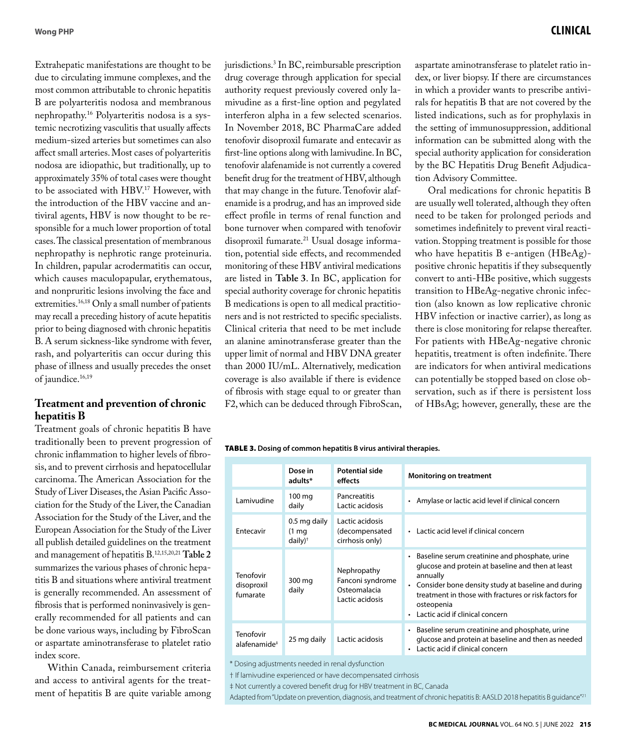Extrahepatic manifestations are thought to be due to circulating immune complexes, and the most common attributable to chronic hepatitis B are polyarteritis nodosa and membranous nephropathy.16 Polyarteritis nodosa is a systemic necrotizing vasculitis that usually affects medium-sized arteries but sometimes can also affect small arteries. Most cases of polyarteritis nodosa are idiopathic, but traditionally, up to approximately 35% of total cases were thought to be associated with HBV.<sup>17</sup> However, with the introduction of the HBV vaccine and antiviral agents, HBV is now thought to be responsible for a much lower proportion of total cases. The classical presentation of membranous nephropathy is nephrotic range proteinuria. In children, papular acrodermatitis can occur, which causes maculopapular, erythematous, and nonpruritic lesions involving the face and extremities.<sup>16,18</sup> Only a small number of patients may recall a preceding history of acute hepatitis prior to being diagnosed with chronic hepatitis B. A serum sickness-like syndrome with fever, rash, and polyarteritis can occur during this phase of illness and usually precedes the onset of jaundice.<sup>16,19</sup>

## **Treatment and prevention of chronic hepatitis B**

Treatment goals of chronic hepatitis B have traditionally been to prevent progression of chronic inflammation to higher levels of fibrosis, and to prevent cirrhosis and hepatocellular carcinoma. The American Association for the Study of Liver Diseases, the Asian Pacific Association for the Study of the Liver, the Canadian Association for the Study of the Liver, and the European Association for the Study of the Liver all publish detailed guidelines on the treatment and management of hepatitis B.12,15,20,21 **Table 2** summarizes the various phases of chronic hepatitis B and situations where antiviral treatment is generally recommended. An assessment of fibrosis that is performed noninvasively is generally recommended for all patients and can be done various ways, including by FibroScan or aspartate aminotransferase to platelet ratio index score.

Within Canada, reimbursement criteria and access to antiviral agents for the treatment of hepatitis B are quite variable among

jurisdictions.3 In BC, reimbursable prescription drug coverage through application for special authority request previously covered only lamivudine as a first-line option and pegylated interferon alpha in a few selected scenarios. In November 2018, BC PharmaCare added tenofovir disoproxil fumarate and entecavir as first-line options along with lamivudine. In BC, tenofovir alafenamide is not currently a covered benefit drug for the treatment of HBV, although that may change in the future. Tenofovir alafenamide is a prodrug, and has an improved side effect profile in terms of renal function and bone turnover when compared with tenofovir disoproxil fumarate.21 Usual dosage information, potential side effects, and recommended monitoring of these HBV antiviral medications are listed in **Table 3**. In BC, application for special authority coverage for chronic hepatitis B medications is open to all medical practitioners and is not restricted to specific specialists. Clinical criteria that need to be met include an alanine aminotransferase greater than the upper limit of normal and HBV DNA greater than 2000 IU/mL. Alternatively, medication coverage is also available if there is evidence of fibrosis with stage equal to or greater than F2, which can be deduced through FibroScan,

# **Wong PHP Clinical**

aspartate aminotransferase to platelet ratio index, or liver biopsy. If there are circumstances in which a provider wants to prescribe antivirals for hepatitis B that are not covered by the listed indications, such as for prophylaxis in the setting of immunosuppression, additional information can be submitted along with the special authority application for consideration by the BC Hepatitis Drug Benefit Adjudication Advisory Committee.

Oral medications for chronic hepatitis B are usually well tolerated, although they often need to be taken for prolonged periods and sometimes indefinitely to prevent viral reactivation. Stopping treatment is possible for those who have hepatitis B e-antigen (HBeAg) positive chronic hepatitis if they subsequently convert to anti-HBe positive, which suggests transition to HBeAg-negative chronic infection (also known as low replicative chronic HBV infection or inactive carrier), as long as there is close monitoring for relapse thereafter. For patients with HBeAg-negative chronic hepatitis, treatment is often indefinite. There are indicators for when antiviral medications can potentially be stopped based on close observation, such as if there is persistent loss of HBsAg; however, generally, these are the

#### Table 3. **Dosing of common hepatitis B virus antiviral therapies.**

|                                       | Dose in<br>adults*                                         | Potential side<br>effects                                          | <b>Monitoring on treatment</b>                                                                                                                                                                                                                                                      |
|---------------------------------------|------------------------------------------------------------|--------------------------------------------------------------------|-------------------------------------------------------------------------------------------------------------------------------------------------------------------------------------------------------------------------------------------------------------------------------------|
| Lamivudine                            | 100 mg<br>daily                                            | Pancreatitis<br>Lactic acidosis                                    | Amylase or lactic acid level if clinical concern<br>$\bullet$                                                                                                                                                                                                                       |
| Entecavir                             | 0.5 mg daily<br>$(1 \text{ mg})$<br>$d$ aily) <sup>†</sup> | Lactic acidosis<br>(decompensated<br>cirrhosis only)               | • Lactic acid level if clinical concern                                                                                                                                                                                                                                             |
| Tenofovir<br>disoproxil<br>fumarate   | 300 mg<br>daily                                            | Nephropathy<br>Fanconi syndrome<br>Osteomalacia<br>Lactic acidosis | • Baseline serum creatinine and phosphate, urine<br>glucose and protein at baseline and then at least<br>annually<br>• Consider bone density study at baseline and during<br>treatment in those with fractures or risk factors for<br>osteopenia<br>Lactic acid if clinical concern |
| Tenofovir<br>alafenamide <sup>‡</sup> | 25 mg daily                                                | Lactic acidosis                                                    | • Baseline serum creatinine and phosphate, urine<br>glucose and protein at baseline and then as needed<br>Lactic acid if clinical concern<br>$\bullet$                                                                                                                              |

\* Dosing adjustments needed in renal dysfunction

† If lamivudine experienced or have decompensated cirrhosis

‡ Not currently a covered benefit drug for HBV treatment in BC, Canada

Adapted from "Update on prevention, diagnosis, and treatment of chronic hepatitis B: AASLD 2018 hepatitis B guidance"<sup>21</sup>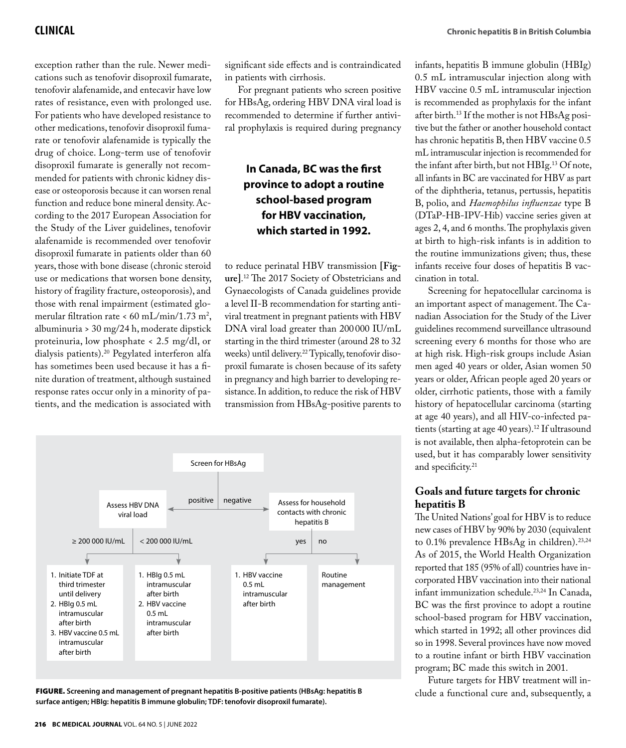**Clinical Chronic hepatitis B in British Columbia** 

exception rather than the rule. Newer medications such as tenofovir disoproxil fumarate, tenofovir alafenamide, and entecavir have low rates of resistance, even with prolonged use. For patients who have developed resistance to other medications, tenofovir disoproxil fumarate or tenofovir alafenamide is typically the drug of choice. Long-term use of tenofovir disoproxil fumarate is generally not recommended for patients with chronic kidney disease or osteoporosis because it can worsen renal function and reduce bone mineral density. According to the 2017 European Association for the Study of the Liver guidelines, tenofovir alafenamide is recommended over tenofovir disoproxil fumarate in patients older than 60 years, those with bone disease (chronic steroid use or medications that worsen bone density, history of fragility fracture, osteoporosis), and those with renal impairment (estimated glomerular filtration rate < 60 mL/min/1.73 m<sup>2</sup>, albuminuria > 30 mg/24 h, moderate dipstick proteinuria, low phosphate < 2.5 mg/dl, or dialysis patients).20 Pegylated interferon alfa has sometimes been used because it has a finite duration of treatment, although sustained response rates occur only in a minority of patients, and the medication is associated with

significant side effects and is contraindicated in patients with cirrhosis.

For pregnant patients who screen positive for HBsAg, ordering HBV DNA viral load is recommended to determine if further antiviral prophylaxis is required during pregnancy

# **In Canada, BC was the first province to adopt a routine school-based program for HBV vaccination, which started in 1992.**

to reduce perinatal HBV transmission **[Figure]**. 12 The 2017 Society of Obstetricians and Gynaecologists of Canada guidelines provide a level II-B recommendation for starting antiviral treatment in pregnant patients with HBV DNA viral load greater than 200000 IU/mL starting in the third trimester (around 28 to 32 weeks) until delivery.<sup>22</sup> Typically, tenofovir disoproxil fumarate is chosen because of its safety in pregnancy and high barrier to developing resistance. In addition, to reduce the risk of HBV transmission from HBsAg-positive parents to



FIGURE. Screening and management of pregnant hepatitis B-positive patients (HBsAg: hepatitis B clude a functional cure and, subsequently, a **surface antigen; HBIg: hepatitis B immune globulin; TDF: tenofovir disoproxil fumarate).**

infants, hepatitis B immune globulin (HBIg) 0.5 mL intramuscular injection along with HBV vaccine 0.5 mL intramuscular injection is recommended as prophylaxis for the infant after birth.<sup>13</sup> If the mother is not HBsAg positive but the father or another household contact has chronic hepatitis B, then HBV vaccine 0.5 mL intramuscular injection is recommended for the infant after birth, but not HBIg.13 Of note, all infants in BC are vaccinated for HBV as part of the diphtheria, tetanus, pertussis, hepatitis B, polio, and *Haemophilus influenzae* type B (DTaP-HB-IPV-Hib) vaccine series given at ages 2, 4, and 6 months. The prophylaxis given at birth to high-risk infants is in addition to the routine immunizations given; thus, these infants receive four doses of hepatitis B vaccination in total.

Screening for hepatocellular carcinoma is an important aspect of management. The Canadian Association for the Study of the Liver guidelines recommend surveillance ultrasound screening every 6 months for those who are at high risk. High-risk groups include Asian men aged 40 years or older, Asian women 50 years or older, African people aged 20 years or older, cirrhotic patients, those with a family history of hepatocellular carcinoma (starting at age 40 years), and all HIV-co-infected patients (starting at age 40 years).<sup>12</sup> If ultrasound is not available, then alpha-fetoprotein can be used, but it has comparably lower sensitivity and specificity.<sup>21</sup>

# **Goals and future targets for chronic hepatitis B**

The United Nations' goal for HBV is to reduce new cases of HBV by 90% by 2030 (equivalent to 0.1% prevalence HBsAg in children).<sup>23,24</sup> As of 2015, the World Health Organization reported that 185 (95% of all) countries have incorporated HBV vaccination into their national infant immunization schedule.23,24 In Canada, BC was the first province to adopt a routine school-based program for HBV vaccination, which started in 1992; all other provinces did so in 1998. Several provinces have now moved to a routine infant or birth HBV vaccination program; BC made this switch in 2001.

Future targets for HBV treatment will in-